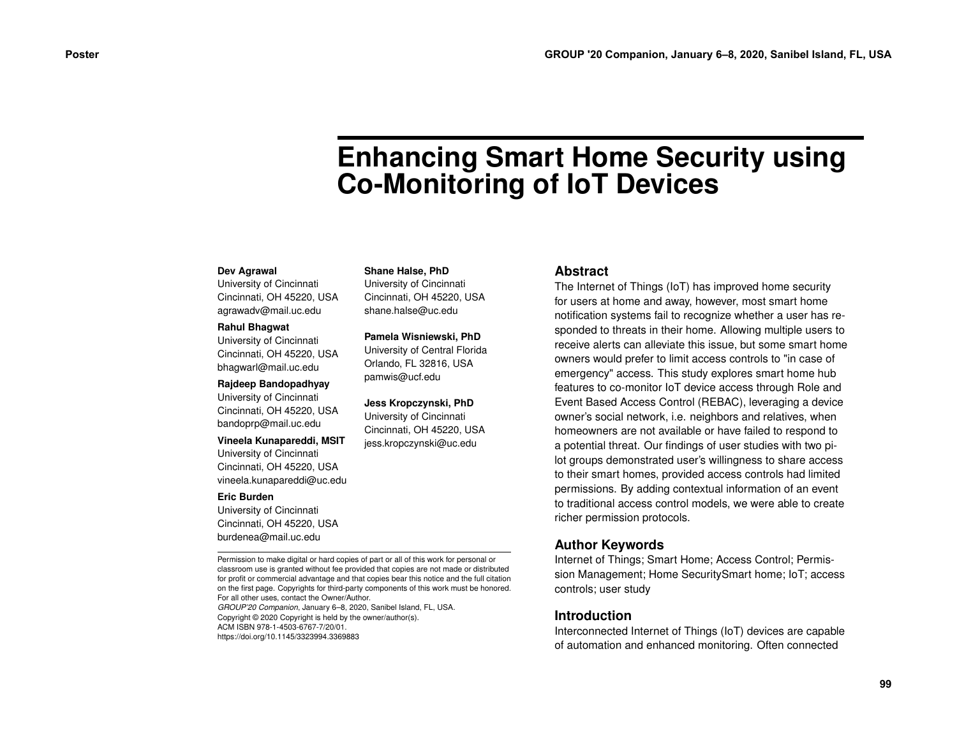# **Enhancing Smart Home Security using Co-Monitoring of IoT Devices**

#### **Dev Agrawal**

University of Cincinnati Cincinnati, OH 45220, USA agrawadv@mail.uc.edu

#### **Rahul Bhagwat**

University of Cincinnati Cincinnati, OH 45220, USA bhagwarl@mail.uc.edu

#### **Rajdeep Bandopadhyay**

University of Cincinnati Cincinnati, OH 45220, USA bandoprp@mail.uc.edu

#### **Vineela Kunapareddi, MSIT**

University of Cincinnati Cincinnati, OH 45220, USA vineela.kunapareddi@uc.edu

#### **Eric Burden**

University of Cincinnati Cincinnati, OH 45220, USA burdenea@mail.uc.edu

Permission to make digital or hard copies of part or all of this work for personal or classroom use is granted without fee provided that copies are not made or distributed for profit or commercial advantage and that copies bear this notice and the full citation on the first page. Copyrights for third-party components of this work must be honored. For all other uses, contact the Owner/Author.

*GROUP'20 Companion*, January 6–8, 2020, Sanibel Island, FL, USA. Copyright © 2020 Copyright is held by the owner/author(s). ACM ISBN 978-1-4503-6767-7/20/01. https://doi.org/10.1145/3323994.3369883

### **Shane Halse, PhD**

University of Cincinnati Cincinnati, OH 45220, USA shane.halse@uc.edu

#### **Pamela Wisniewski, PhD**

University of Central Florida Orlando, FL 32816, USA pamwis@ucf.edu

#### **Jess Kropczynski, PhD**

University of Cincinnati Cincinnati, OH 45220, USA jess.kropczynski@uc.edu

## **Abstract**

The Internet of Things (IoT) has improved home security for users at home and away, however, most smart home notification systems fail to recognize whether a user has responded to threats in their home. Allowing multiple users to receive alerts can alleviate this issue, but some smart home owners would prefer to limit access controls to "in case of emergency" access. This study explores smart home hub features to co-monitor IoT device access through Role and Event Based Access Control (REBAC), leveraging a device owner's social network, i.e. neighbors and relatives, when homeowners are not available or have failed to respond to a potential threat. Our findings of user studies with two pilot groups demonstrated user's willingness to share access to their smart homes, provided access controls had limited permissions. By adding contextual information of an event to traditional access control models, we were able to create richer permission protocols. **Poster GROUP '20 Companion, January 6–8, 2020, Samibel Island, FL, USA<br>
<b>Enhanced Companion** State Hotel, Photo Section (The Concernent Companion) and the Companion of the Companion of the Companion of the Companion of

## **Author Keywords**

Internet of Things; Smart Home; Access Control; Permission Management; Home SecuritySmart home; IoT; access controls; user study

## **Introduction**

Interconnected Internet of Things (IoT) devices are capable of automation and enhanced monitoring. Often connected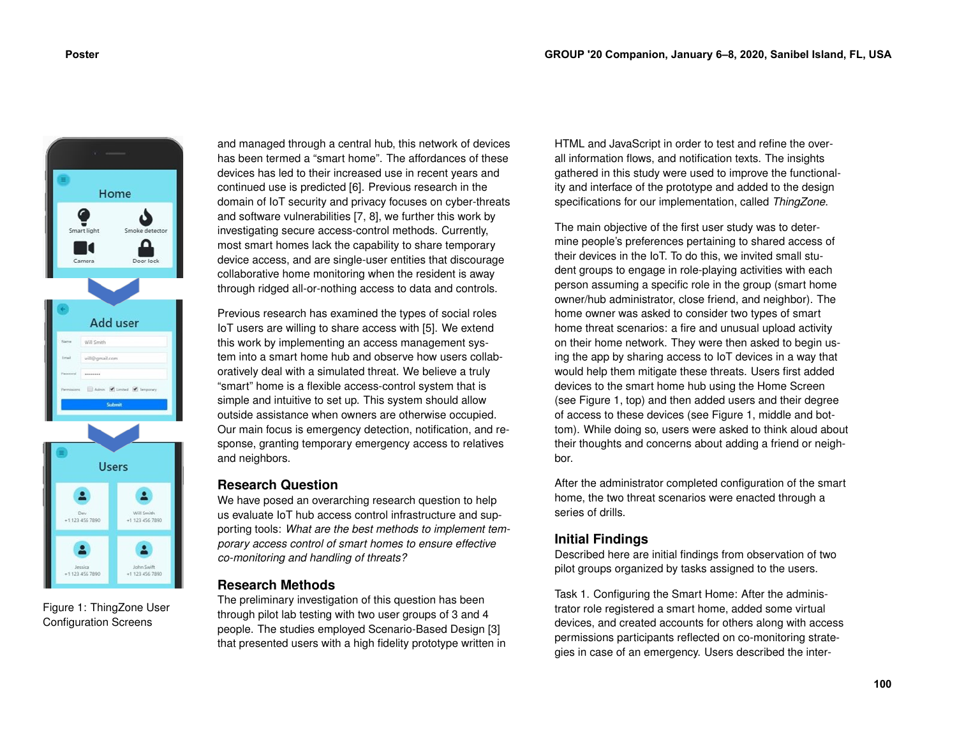

Figure 1: ThingZone User Configuration Screens

 $+1$  123 456 7890

1 123 456 7890

and managed through a central hub, this network of devices has been termed a "smart home". The affordances of these devices has led to their increased use in recent years and continued use is predicted [\[6\]](#page-3-0). Previous research in the domain of IoT security and privacy focuses on cyber-threats and software vulnerabilities [\[7,](#page-3-1) [8\]](#page-3-2), we further this work by investigating secure access-control methods. Currently, most smart homes lack the capability to share temporary device access, and are single-user entities that discourage collaborative home monitoring when the resident is away through ridged all-or-nothing access to data and controls.

Previous research has examined the types of social roles IoT users are willing to share access with [\[5\]](#page-3-3). We extend this work by implementing an access management system into a smart home hub and observe how users collaboratively deal with a simulated threat. We believe a truly "smart" home is a flexible access-control system that is simple and intuitive to set up. This system should allow outside assistance when owners are otherwise occupied. Our main focus is emergency detection, notification, and response, granting temporary emergency access to relatives and neighbors.

## **Research Question**

We have posed an overarching research question to help us evaluate IoT hub access control infrastructure and supporting tools: *What are the best methods to implement temporary access control of smart homes to ensure effective co-monitoring and handling of threats?*

# **Research Methods**

The preliminary investigation of this question has been through pilot lab testing with two user groups of 3 and 4 people. The studies employed Scenario-Based Design [\[3\]](#page-3-4) that presented users with a high fidelity prototype written in

HTML and JavaScript in order to test and refine the overall information flows, and notification texts. The insights gathered in this study were used to improve the functionality and interface of the prototype and added to the design specifications for our implementation, called *ThingZone*.

The main objective of the first user study was to determine people's preferences pertaining to shared access of their devices in the IoT. To do this, we invited small student groups to engage in role-playing activities with each person assuming a specific role in the group (smart home owner/hub administrator, close friend, and neighbor). The home owner was asked to consider two types of smart home threat scenarios: a fire and unusual upload activity on their home network. They were then asked to begin using the app by sharing access to IoT devices in a way that would help them mitigate these threats. Users first added devices to the smart home hub using the Home Screen (see Figure 1, top) and then added users and their degree of access to these devices (see Figure 1, middle and bottom). While doing so, users were asked to think aloud about their thoughts and concerns about adding a friend or neighbor.

After the administrator completed configuration of the smart home, the two threat scenarios were enacted through a series of drills.

# **Initial Findings**

Described here are initial findings from observation of two pilot groups organized by tasks assigned to the users.

Task 1. Configuring the Smart Home: After the administrator role registered a smart home, added some virtual devices, and created accounts for others along with access permissions participants reflected on co-monitoring strategies in case of an emergency. Users described the inter-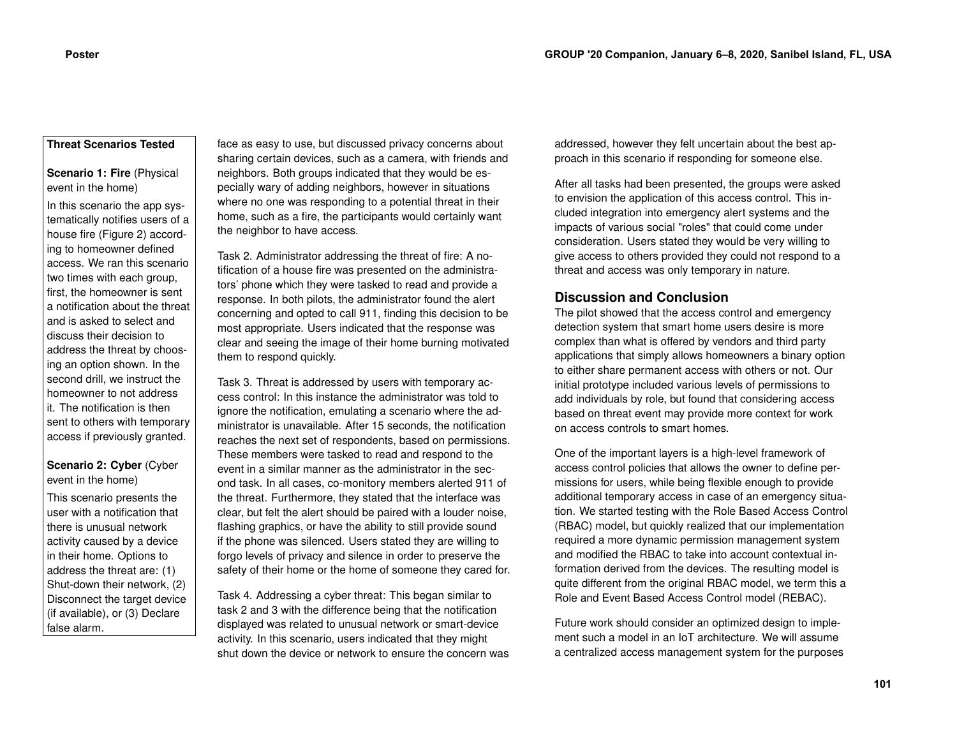## **Threat Scenarios Tested**

**Scenario 1: Fire** (Physical event in the home)

In this scenario the app systematically notifies users of a house fire (Figure 2) according to homeowner defined access. We ran this scenario two times with each group, first, the homeowner is sent a notification about the threat and is asked to select and discuss their decision to address the threat by choosing an option shown. In the second drill, we instruct the homeowner to not address it. The notification is then sent to others with temporary access if previously granted.

## **Scenario 2: Cyber** (Cyber event in the home)

This scenario presents the user with a notification that there is unusual network activity caused by a device in their home. Options to address the threat are: (1) Shut-down their network, (2) Disconnect the target device (if available), or (3) Declare false alarm.

face as easy to use, but discussed privacy concerns about sharing certain devices, such as a camera, with friends and neighbors. Both groups indicated that they would be especially wary of adding neighbors, however in situations where no one was responding to a potential threat in their home, such as a fire, the participants would certainly want the neighbor to have access.

Task 2. Administrator addressing the threat of fire: A notification of a house fire was presented on the administrators' phone which they were tasked to read and provide a response. In both pilots, the administrator found the alert concerning and opted to call 911, finding this decision to be most appropriate. Users indicated that the response was clear and seeing the image of their home burning motivated them to respond quickly.

Task 3. Threat is addressed by users with temporary access control: In this instance the administrator was told to ignore the notification, emulating a scenario where the administrator is unavailable. After 15 seconds, the notification reaches the next set of respondents, based on permissions. These members were tasked to read and respond to the event in a similar manner as the administrator in the second task. In all cases, co-monitory members alerted 911 of the threat. Furthermore, they stated that the interface was clear, but felt the alert should be paired with a louder noise, flashing graphics, or have the ability to still provide sound if the phone was silenced. Users stated they are willing to forgo levels of privacy and silence in order to preserve the safety of their home or the home of someone they cared for.

Task 4. Addressing a cyber threat: This began similar to task 2 and 3 with the difference being that the notification displayed was related to unusual network or smart-device activity. In this scenario, users indicated that they might shut down the device or network to ensure the concern was

addressed, however they felt uncertain about the best approach in this scenario if responding for someone else.

After all tasks had been presented, the groups were asked to envision the application of this access control. This included integration into emergency alert systems and the impacts of various social "roles" that could come under consideration. Users stated they would be very willing to give access to others provided they could not respond to a threat and access was only temporary in nature.

## **Discussion and Conclusion**

The pilot showed that the access control and emergency detection system that smart home users desire is more complex than what is offered by vendors and third party applications that simply allows homeowners a binary option to either share permanent access with others or not. Our initial prototype included various levels of permissions to add individuals by role, but found that considering access based on threat event may provide more context for work on access controls to smart homes.

One of the important layers is a high-level framework of access control policies that allows the owner to define permissions for users, while being flexible enough to provide additional temporary access in case of an emergency situation. We started testing with the Role Based Access Control (RBAC) model, but quickly realized that our implementation required a more dynamic permission management system and modified the RBAC to take into account contextual information derived from the devices. The resulting model is quite different from the original RBAC model, we term this a Role and Event Based Access Control model (REBAC).

Future work should consider an optimized design to implement such a model in an IoT architecture. We will assume a centralized access management system for the purposes